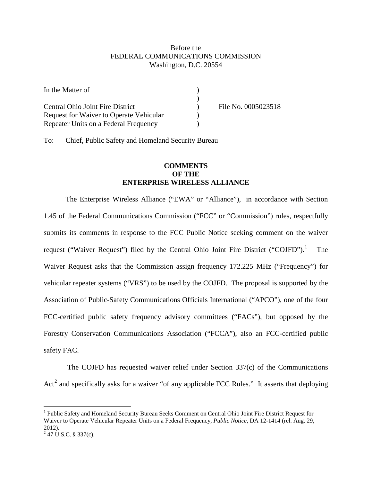## Before the FEDERAL COMMUNICATIONS COMMISSION Washington, D.C. 20554

| In the Matter of                        |                     |
|-----------------------------------------|---------------------|
|                                         |                     |
| Central Ohio Joint Fire District        | File No. 0005023518 |
| Request for Waiver to Operate Vehicular |                     |
| Repeater Units on a Federal Frequency   |                     |

To: Chief, Public Safety and Homeland Security Bureau

## **COMMENTS OF THE ENTERPRISE WIRELESS ALLIANCE**

The Enterprise Wireless Alliance ("EWA" or "Alliance"), in accordance with Section 1.45 of the Federal Communications Commission ("FCC" or "Commission") rules, respectfully submits its comments in response to the FCC Public Notice seeking comment on the waiver request ("Waiver Request") filed by the Central Ohio Joint Fire District ("COJFD"). The Waiver Request asks that the Commission assign frequency 172.225 MHz ("Frequency") for vehicular repeater systems ("VRS") to be used by the COJFD. The proposal is supported by the Association of Public-Safety Communications Officials International ("APCO"), one of the four FCC-certified public safety frequency advisory committees ("FACs"), but opposed by the Forestry Conservation Communications Association ("FCCA"), also an FCC-certified public safety FAC.

The COJFD has requested waiver relief under Section 337(c) of the Communications Act<sup>[2](#page-0-1)</sup> and specifically asks for a waiver "of any applicable FCC Rules." It asserts that deploying

<span id="page-0-0"></span><sup>&</sup>lt;sup>1</sup> Public Safety and Homeland Security Bureau Seeks Comment on Central Ohio Joint Fire District Request for Waiver to Operate Vehicular Repeater Units on a Federal Frequency, *Public Notice*, DA 12-1414 (rel. Aug. 29, 2012).

<span id="page-0-1"></span> $247$  U.S.C. § 337(c).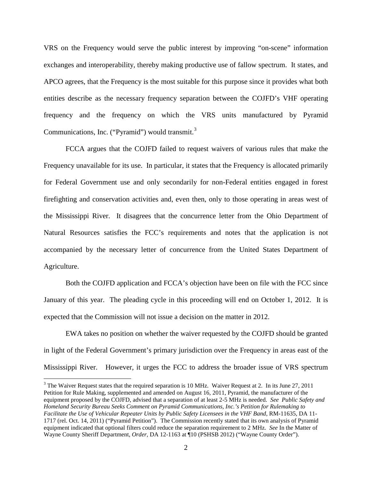VRS on the Frequency would serve the public interest by improving "on-scene" information exchanges and interoperability, thereby making productive use of fallow spectrum. It states, and APCO agrees, that the Frequency is the most suitable for this purpose since it provides what both entities describe as the necessary frequency separation between the COJFD's VHF operating frequency and the frequency on which the VRS units manufactured by Pyramid Communications, Inc. ("Pyramid") would transmit.<sup>[3](#page-1-0)</sup>

FCCA argues that the COJFD failed to request waivers of various rules that make the Frequency unavailable for its use. In particular, it states that the Frequency is allocated primarily for Federal Government use and only secondarily for non-Federal entities engaged in forest firefighting and conservation activities and, even then, only to those operating in areas west of the Mississippi River. It disagrees that the concurrence letter from the Ohio Department of Natural Resources satisfies the FCC's requirements and notes that the application is not accompanied by the necessary letter of concurrence from the United States Department of Agriculture.

Both the COJFD application and FCCA's objection have been on file with the FCC since January of this year. The pleading cycle in this proceeding will end on October 1, 2012. It is expected that the Commission will not issue a decision on the matter in 2012.

EWA takes no position on whether the waiver requested by the COJFD should be granted in light of the Federal Government's primary jurisdiction over the Frequency in areas east of the Mississippi River. However, it urges the FCC to address the broader issue of VRS spectrum

<span id="page-1-0"></span><sup>&</sup>lt;sup>3</sup> The Waiver Request states that the required separation is 10 MHz. Waiver Request at 2. In its June 27, 2011 Petition for Rule Making, supplemented and amended on August 16, 2011, Pyramid, the manufacturer of the equipment proposed by the COJFD, advised that a separation of at least 2-5 MHz is needed. *See Public Safety and Homeland Security Bureau Seeks Comment on Pyramid Communications, Inc.'s Petition for Rulemaking to Facilitate the Use of Vehicular Repeater Units by Public Safety Licensees in the VHF Band*, RM-11635, DA 11- 1717 (rel. Oct. 14, 2011) ("Pyramid Petition"). The Commission recently stated that its own analysis of Pyramid equipment indicated that optional filters could reduce the separation requirement to 2 MHz. *See* In the Matter of Wayne County Sheriff Department, *Order*, DA 12-1163 at ¶10 (PSHSB 2012) ("Wayne County Order").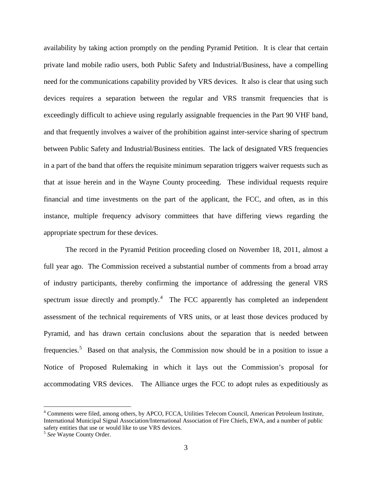availability by taking action promptly on the pending Pyramid Petition. It is clear that certain private land mobile radio users, both Public Safety and Industrial/Business, have a compelling need for the communications capability provided by VRS devices. It also is clear that using such devices requires a separation between the regular and VRS transmit frequencies that is exceedingly difficult to achieve using regularly assignable frequencies in the Part 90 VHF band, and that frequently involves a waiver of the prohibition against inter-service sharing of spectrum between Public Safety and Industrial/Business entities. The lack of designated VRS frequencies in a part of the band that offers the requisite minimum separation triggers waiver requests such as that at issue herein and in the Wayne County proceeding. These individual requests require financial and time investments on the part of the applicant, the FCC, and often, as in this instance, multiple frequency advisory committees that have differing views regarding the appropriate spectrum for these devices.

The record in the Pyramid Petition proceeding closed on November 18, 2011, almost a full year ago. The Commission received a substantial number of comments from a broad array of industry participants, thereby confirming the importance of addressing the general VRS spectrum issue directly and promptly.<sup>[4](#page-2-0)</sup> The FCC apparently has completed an independent assessment of the technical requirements of VRS units, or at least those devices produced by Pyramid, and has drawn certain conclusions about the separation that is needed between frequencies.<sup>[5](#page-2-1)</sup> Based on that analysis, the Commission now should be in a position to issue a Notice of Proposed Rulemaking in which it lays out the Commission's proposal for accommodating VRS devices. The Alliance urges the FCC to adopt rules as expeditiously as

<span id="page-2-0"></span> <sup>4</sup> Comments were filed, among others, by APCO, FCCA, Utilities Telecom Council, American Petroleum Institute, International Municipal Signal Association/International Association of Fire Chiefs, EWA, and a number of public safety entities that use or would like to use VRS devices.

<span id="page-2-1"></span><sup>5</sup> *See* Wayne County Order.